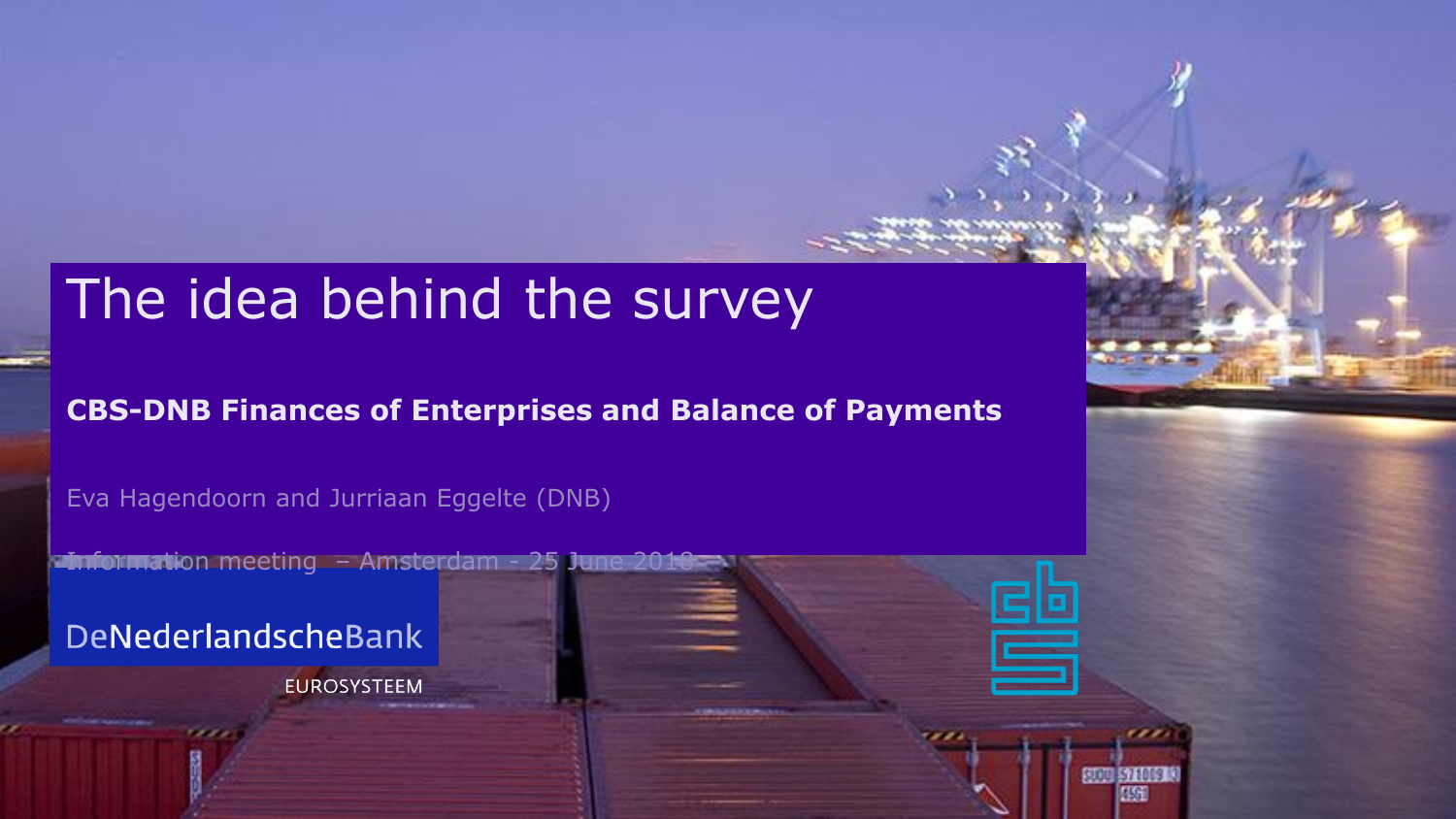#### The idea behind the survey

#### **CBS-DNB Finances of Enterprises and Balance of Payments**

Eva Hagendoorn and Jurriaan Eggelte (DNB)

**Information meeting – Amsterdam - 25 June 201** 

DeNederlandscheBank

**EUROSYSTEEM**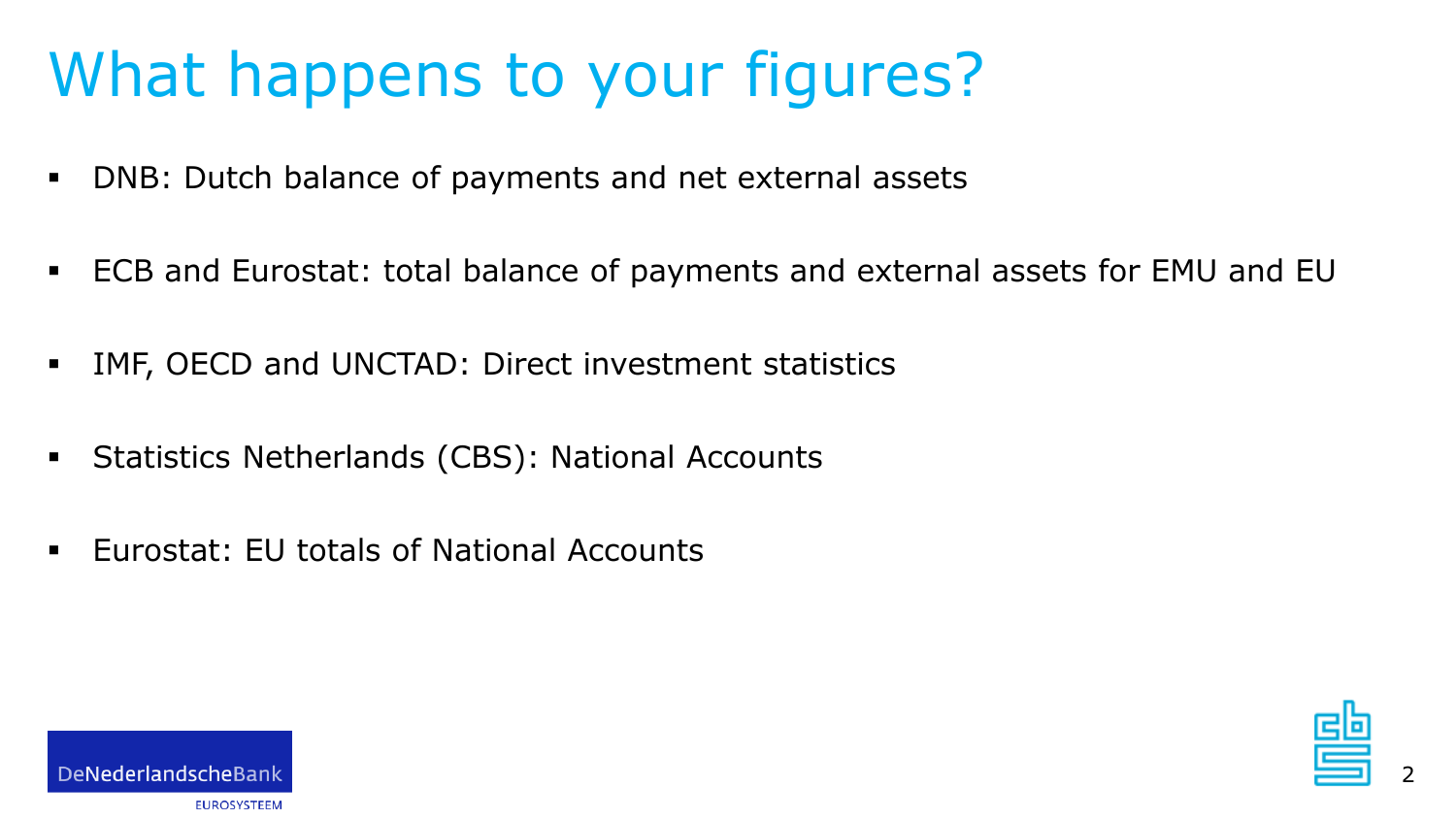# What happens to your figures?

- DNB: Dutch balance of payments and net external assets
- ECB and Eurostat: total balance of payments and external assets for EMU and EU
- IMF, OECD and UNCTAD: Direct investment statistics
- Statistics Netherlands (CBS): National Accounts
- Eurostat: EU totals of National Accounts





2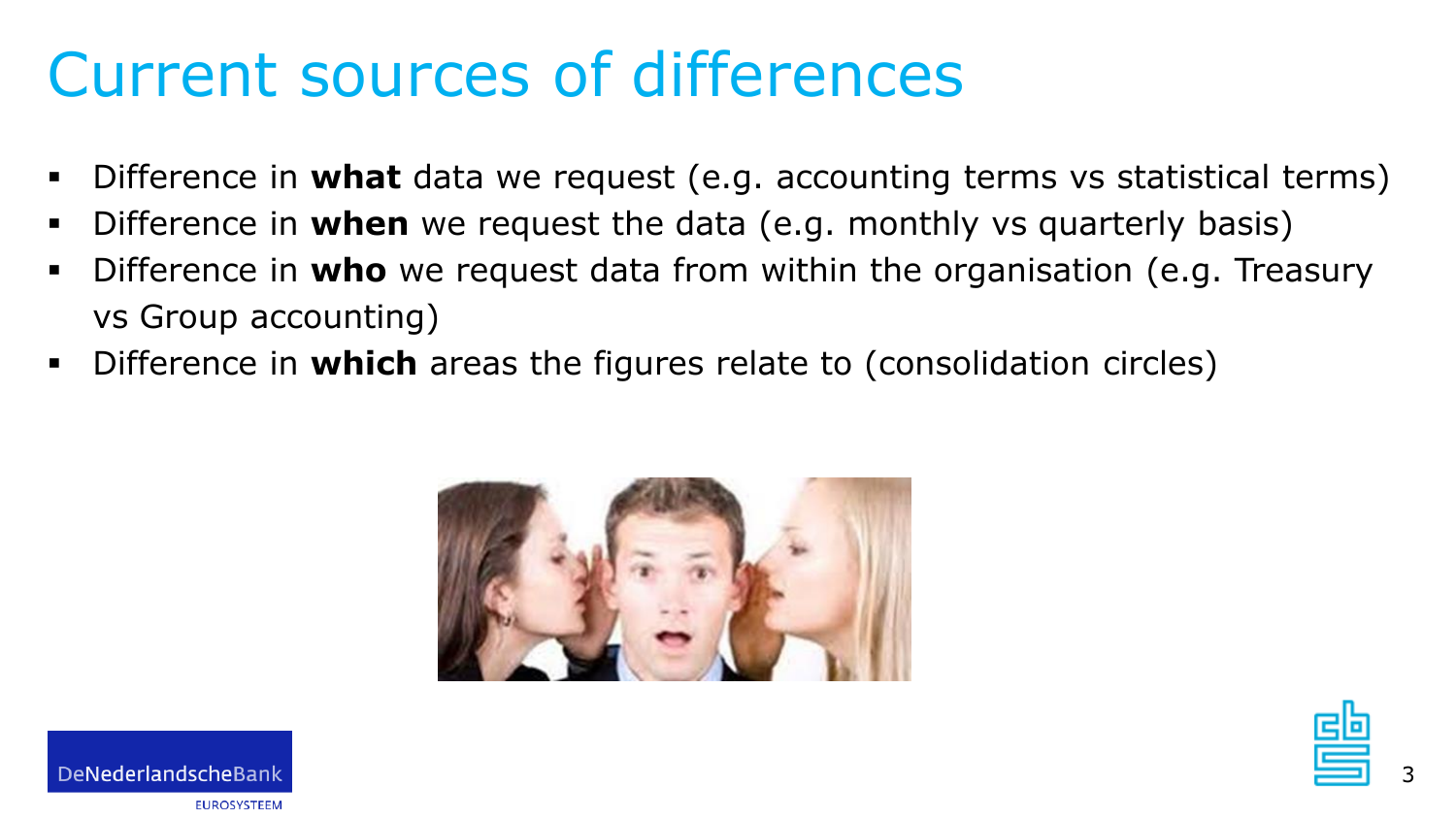#### Current sources of differences

- Difference in **what** data we request (e.g. accounting terms vs statistical terms)
- Difference in **when** we request the data (e.g. monthly vs quarterly basis)
- Difference in **who** we request data from within the organisation (e.g. Treasury vs Group accounting)
- Difference in **which** areas the figures relate to (consolidation circles)





**FUROSYSTEEM**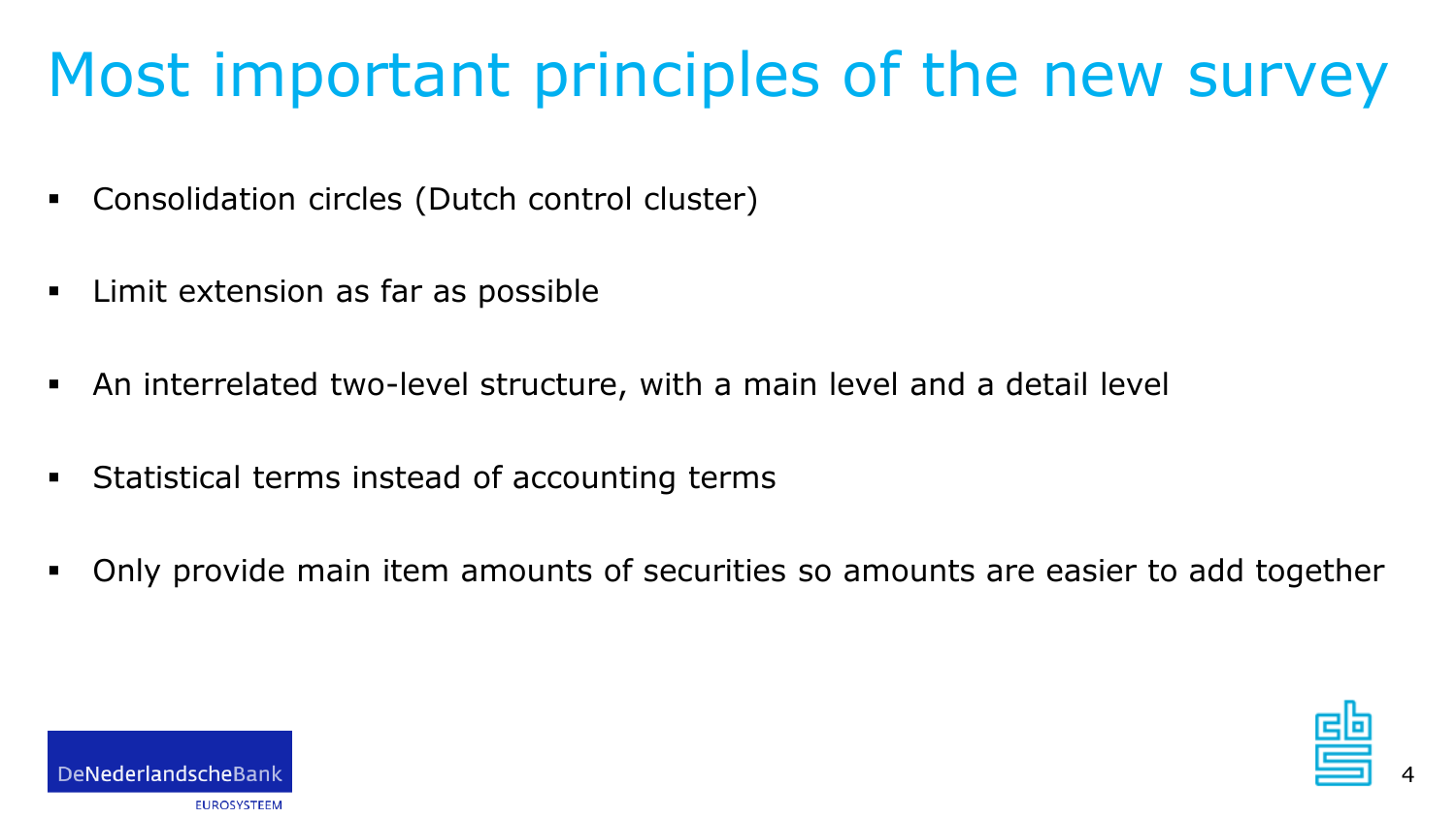# Most important principles of the new survey

- Consolidation circles (Dutch control cluster)
- Limit extension as far as possible
- An interrelated two-level structure, with a main level and a detail level
- Statistical terms instead of accounting terms
- Only provide main item amounts of securities so amounts are easier to add together



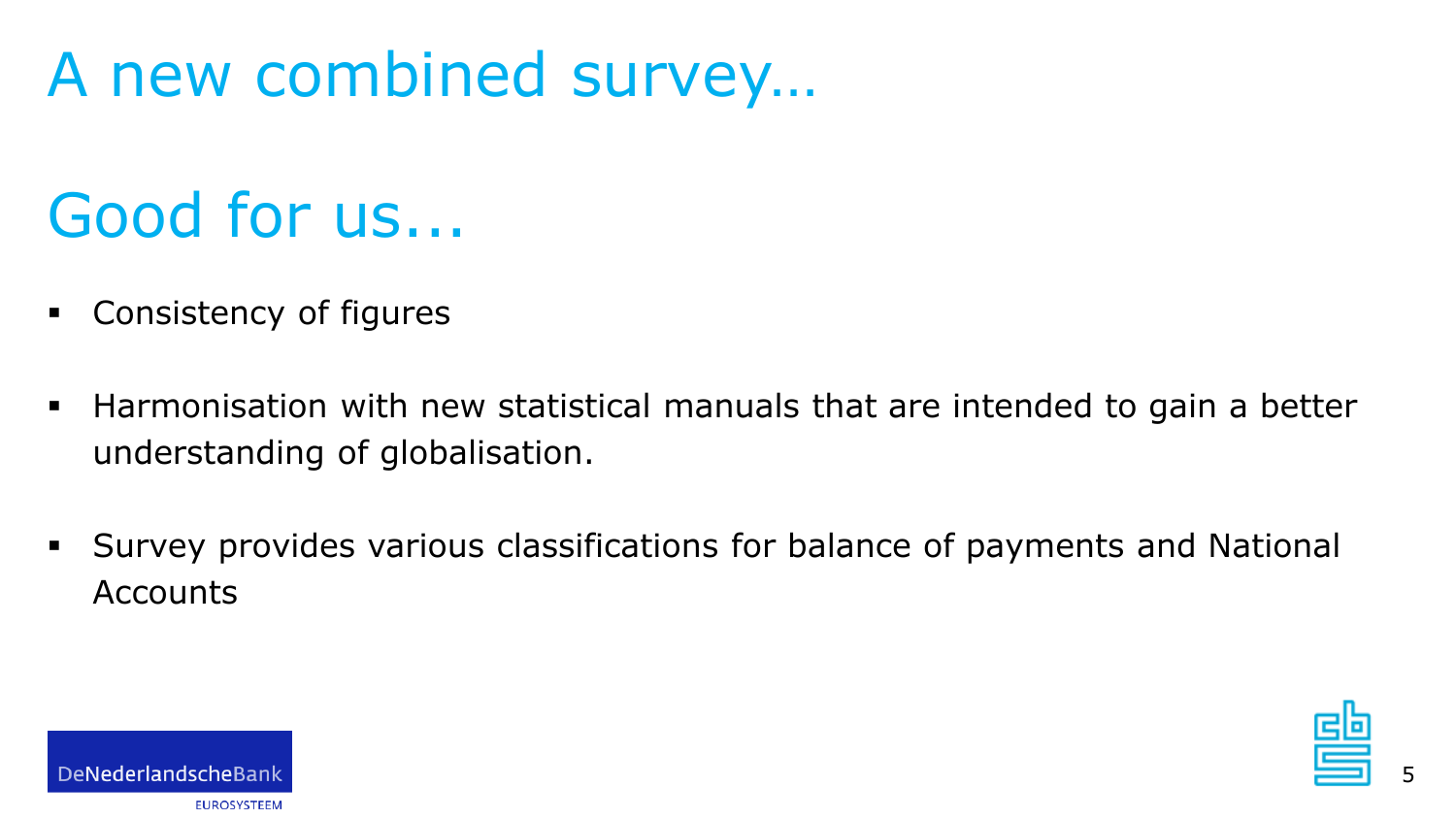### A new combined survey…

## Good for us...

- Consistency of figures
- Harmonisation with new statistical manuals that are intended to gain a better understanding of globalisation.
- Survey provides various classifications for balance of payments and National **Accounts**